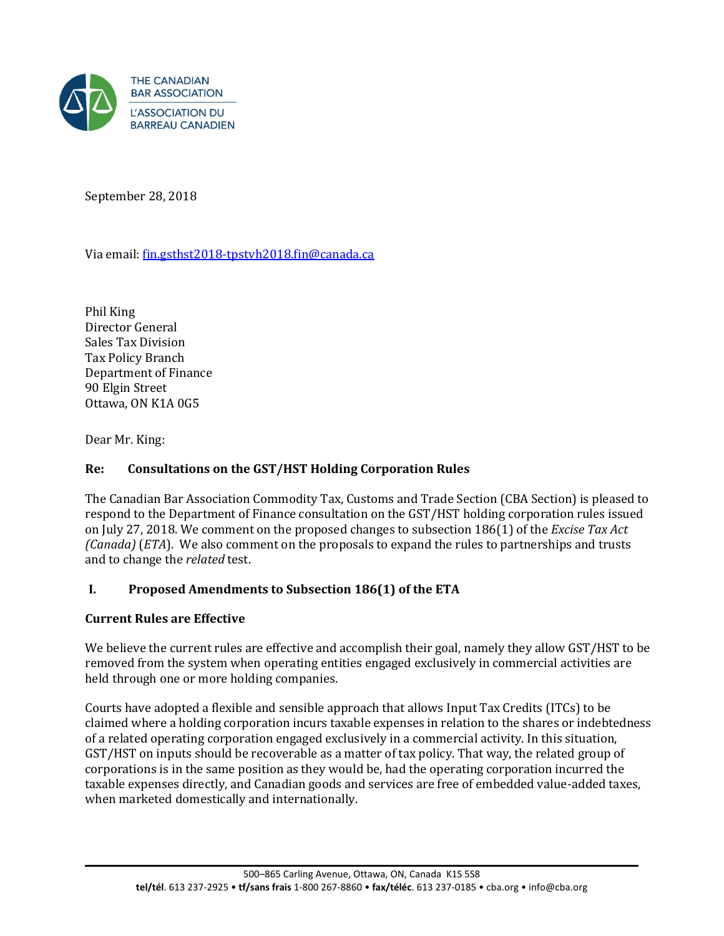

September 28, 2018

Via email[: fin.gsthst2018-tpstvh2018.fin@canada.ca](mailto:fin.gsthst2018-tpstvh2018.fin@canada.ca) 

Phil King Director General Sales Tax Division Tax Policy Branch Department of Finance 90 Elgin Street Ottawa, ON K1A 0G5

Dear Mr. King:

## **Re: Consultations on the GST/HST Holding Corporation Rules**

The Canadian Bar Association Commodity Tax, Customs and Trade Section (CBA Section) is pleased to respond to the Department of Finance consultation on the GST/HST holding corporation rules issued on July 27, 2018. We comment on the proposed changes to subsection 186(1) of the *Excise Tax Act (Canada)* (*ETA*). We also comment on the proposals to expand the rules to partnerships and trusts and to change the *related* test.

# **I. Proposed Amendments to Subsection 186(1) of the ETA**

#### **Current Rules are Effective**

We believe the current rules are effective and accomplish their goal, namely they allow GST/HST to be removed from the system when operating entities engaged exclusively in commercial activities are held through one or more holding companies.

Courts have adopted a flexible and sensible approach that allows Input Tax Credits (ITCs) to be claimed where a holding corporation incurs taxable expenses in relation to the shares or indebtedness of a related operating corporation engaged exclusively in a commercial activity. In this situation, GST/HST on inputs should be recoverable as a matter of tax policy. That way, the related group of corporations is in the same position as they would be, had the operating corporation incurred the taxable expenses directly, and Canadian goods and services are free of embedded value-added taxes, when marketed domestically and internationally.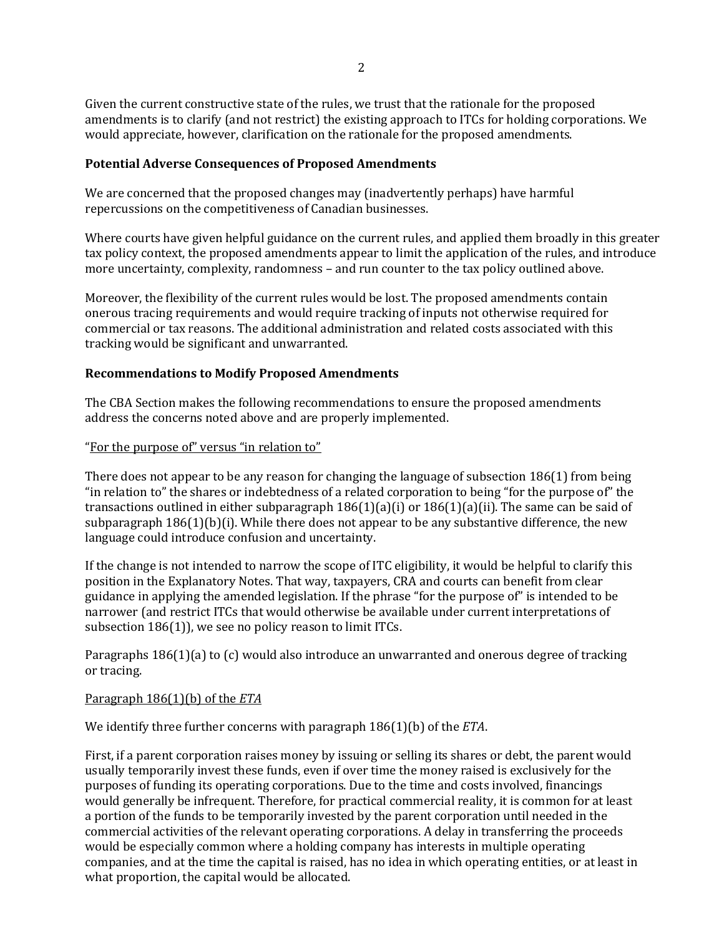Given the current constructive state of the rules, we trust that the rationale for the proposed amendments is to clarify (and not restrict) the existing approach to ITCs for holding corporations. We would appreciate, however, clarification on the rationale for the proposed amendments.

#### **Potential Adverse Consequences of Proposed Amendments**

We are concerned that the proposed changes may (inadvertently perhaps) have harmful repercussions on the competitiveness of Canadian businesses.

Where courts have given helpful guidance on the current rules, and applied them broadly in this greater tax policy context, the proposed amendments appear to limit the application of the rules, and introduce more uncertainty, complexity, randomness – and run counter to the tax policy outlined above.

Moreover, the flexibility of the current rules would be lost. The proposed amendments contain onerous tracing requirements and would require tracking of inputs not otherwise required for commercial or tax reasons. The additional administration and related costs associated with this tracking would be significant and unwarranted.

## **Recommendations to Modify Proposed Amendments**

The CBA Section makes the following recommendations to ensure the proposed amendments address the concerns noted above and are properly implemented.

## "For the purpose of" versus "in relation to"

There does not appear to be any reason for changing the language of subsection 186(1) from being "in relation to" the shares or indebtedness of a related corporation to being "for the purpose of" the transactions outlined in either subparagraph 186(1)(a)(i) or 186(1)(a)(ii). The same can be said of subparagraph  $186(1)(b)(i)$ . While there does not appear to be any substantive difference, the new language could introduce confusion and uncertainty.

If the change is not intended to narrow the scope of ITC eligibility, it would be helpful to clarify this position in the Explanatory Notes. That way, taxpayers, CRA and courts can benefit from clear guidance in applying the amended legislation. If the phrase "for the purpose of" is intended to be narrower (and restrict ITCs that would otherwise be available under current interpretations of subsection 186(1)), we see no policy reason to limit ITCs.

Paragraphs 186(1)(a) to (c) would also introduce an unwarranted and onerous degree of tracking or tracing.

#### Paragraph 186(1)(b) of the *ETA*

We identify three further concerns with paragraph 186(1)(b) of the *ETA*.

First, if a parent corporation raises money by issuing or selling its shares or debt, the parent would usually temporarily invest these funds, even if over time the money raised is exclusively for the purposes of funding its operating corporations. Due to the time and costs involved, financings would generally be infrequent. Therefore, for practical commercial reality, it is common for at least a portion of the funds to be temporarily invested by the parent corporation until needed in the commercial activities of the relevant operating corporations. A delay in transferring the proceeds would be especially common where a holding company has interests in multiple operating companies, and at the time the capital is raised, has no idea in which operating entities, or at least in what proportion, the capital would be allocated.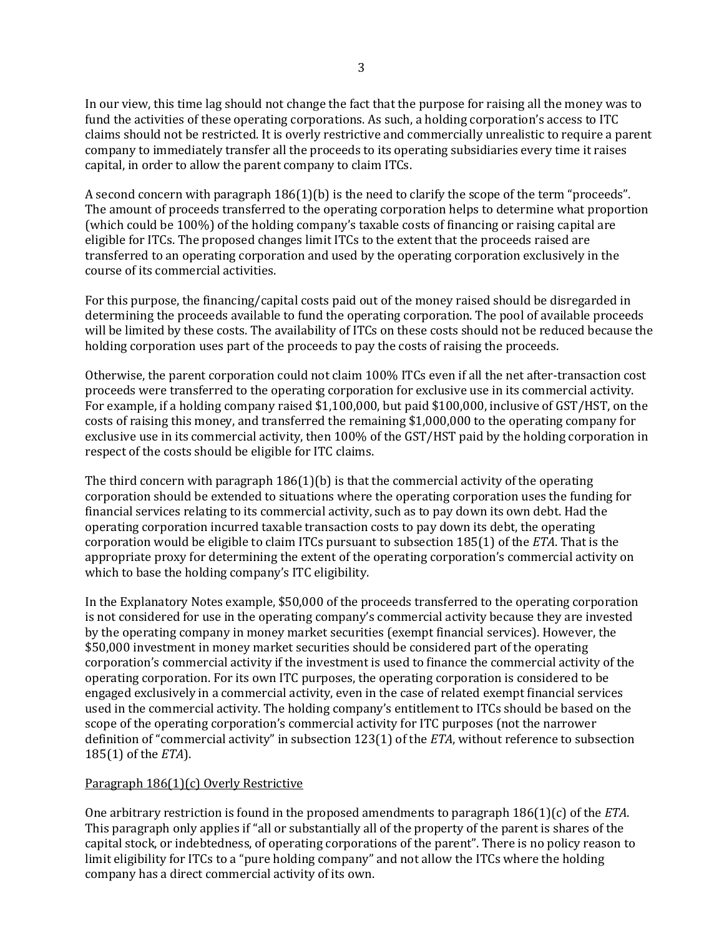In our view, this time lag should not change the fact that the purpose for raising all the money was to fund the activities of these operating corporations. As such, a holding corporation's access to ITC claims should not be restricted. It is overly restrictive and commercially unrealistic to require a parent company to immediately transfer all the proceeds to its operating subsidiaries every time it raises capital, in order to allow the parent company to claim ITCs.

A second concern with paragraph 186(1)(b) is the need to clarify the scope of the term "proceeds". The amount of proceeds transferred to the operating corporation helps to determine what proportion (which could be 100%) of the holding company's taxable costs of financing or raising capital are eligible for ITCs. The proposed changes limit ITCs to the extent that the proceeds raised are transferred to an operating corporation and used by the operating corporation exclusively in the course of its commercial activities.

For this purpose, the financing/capital costs paid out of the money raised should be disregarded in determining the proceeds available to fund the operating corporation. The pool of available proceeds will be limited by these costs. The availability of ITCs on these costs should not be reduced because the holding corporation uses part of the proceeds to pay the costs of raising the proceeds.

Otherwise, the parent corporation could not claim 100% ITCs even if all the net after-transaction cost proceeds were transferred to the operating corporation for exclusive use in its commercial activity. For example, if a holding company raised \$1,100,000, but paid \$100,000, inclusive of GST/HST, on the costs of raising this money, and transferred the remaining \$1,000,000 to the operating company for exclusive use in its commercial activity, then 100% of the GST/HST paid by the holding corporation in respect of the costs should be eligible for ITC claims.

The third concern with paragraph  $186(1)(b)$  is that the commercial activity of the operating corporation should be extended to situations where the operating corporation uses the funding for financial services relating to its commercial activity, such as to pay down its own debt. Had the operating corporation incurred taxable transaction costs to pay down its debt, the operating corporation would be eligible to claim ITCs pursuant to subsection 185(1) of the *ETA*. That is the appropriate proxy for determining the extent of the operating corporation's commercial activity on which to base the holding company's ITC eligibility.

In the Explanatory Notes example, \$50,000 of the proceeds transferred to the operating corporation is not considered for use in the operating company's commercial activity because they are invested by the operating company in money market securities (exempt financial services). However, the \$50,000 investment in money market securities should be considered part of the operating corporation's commercial activity if the investment is used to finance the commercial activity of the operating corporation. For its own ITC purposes, the operating corporation is considered to be engaged exclusively in a commercial activity, even in the case of related exempt financial services used in the commercial activity. The holding company's entitlement to ITCs should be based on the scope of the operating corporation's commercial activity for ITC purposes (not the narrower definition of "commercial activity" in subsection 123(1) of the *ETA*, without reference to subsection 185(1) of the *ETA*).

#### Paragraph 186(1)(c) Overly Restrictive

One arbitrary restriction is found in the proposed amendments to paragraph 186(1)(c) of the *ETA*. This paragraph only applies if "all or substantially all of the property of the parent is shares of the capital stock, or indebtedness, of operating corporations of the parent". There is no policy reason to limit eligibility for ITCs to a "pure holding company" and not allow the ITCs where the holding company has a direct commercial activity of its own.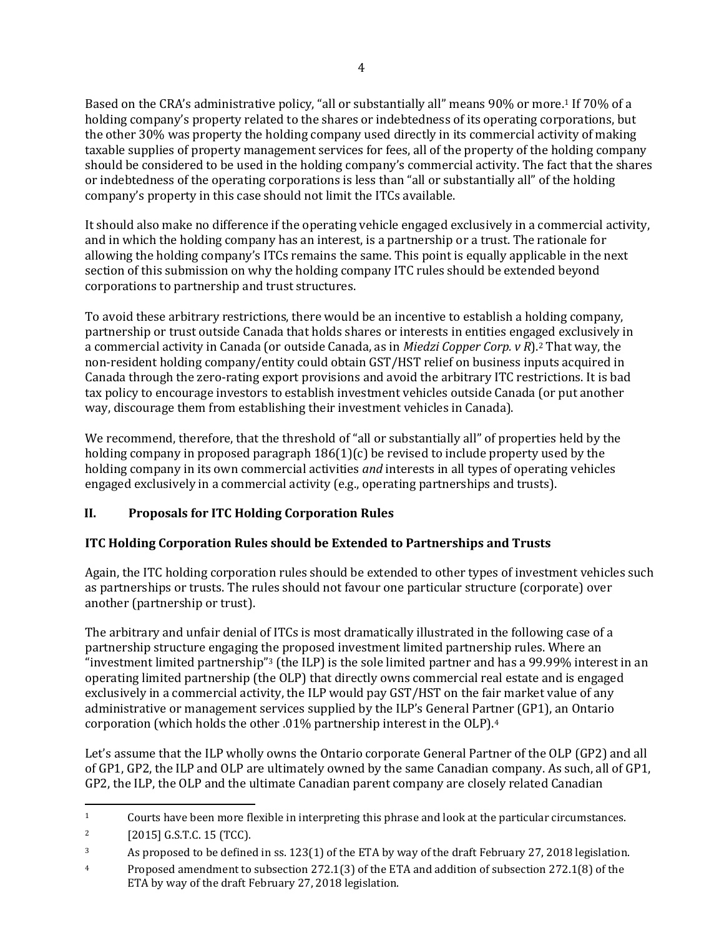Based on the CRA's administrative policy, "all or substantially all" means 90% or more.<sup>1</sup> If 70% of a holding company's property related to the shares or indebtedness of its operating corporations, but the other 30% was property the holding company used directly in its commercial activity of making taxable supplies of property management services for fees, all of the property of the holding company should be considered to be used in the holding company's commercial activity. The fact that the shares or indebtedness of the operating corporations is less than "all or substantially all" of the holding company's property in this case should not limit the ITCs available.

It should also make no difference if the operating vehicle engaged exclusively in a commercial activity, and in which the holding company has an interest, is a partnership or a trust. The rationale for allowing the holding company's ITCs remains the same. This point is equally applicable in the next section of this submission on why the holding company ITC rules should be extended beyond corporations to partnership and trust structures.

To avoid these arbitrary restrictions, there would be an incentive to establish a holding company, partnership or trust outside Canada that holds shares or interests in entities engaged exclusively in a commercial activity in Canada (or outside Canada, as in *Miedzi Copper Corp. v R*).2 That way, the non-resident holding company/entity could obtain GST/HST relief on business inputs acquired in Canada through the zero-rating export provisions and avoid the arbitrary ITC restrictions. It is bad tax policy to encourage investors to establish investment vehicles outside Canada (or put another way, discourage them from establishing their investment vehicles in Canada).

We recommend, therefore, that the threshold of "all or substantially all" of properties held by the holding company in proposed paragraph  $186(1)(c)$  be revised to include property used by the holding company in its own commercial activities *and* interests in all types of operating vehicles engaged exclusively in a commercial activity (e.g., operating partnerships and trusts).

# **II. Proposals for ITC Holding Corporation Rules**

# **ITC Holding Corporation Rules should be Extended to Partnerships and Trusts**

Again, the ITC holding corporation rules should be extended to other types of investment vehicles such as partnerships or trusts. The rules should not favour one particular structure (corporate) over another (partnership or trust).

The arbitrary and unfair denial of ITCs is most dramatically illustrated in the following case of a partnership structure engaging the proposed investment limited partnership rules. Where an "investment limited partnership"3 (the ILP) is the sole limited partner and has a 99.99% interest in an operating limited partnership (the OLP) that directly owns commercial real estate and is engaged exclusively in a commercial activity, the ILP would pay GST/HST on the fair market value of any administrative or management services supplied by the ILP's General Partner (GP1), an Ontario corporation (which holds the other .01% partnership interest in the OLP).<sup>4</sup>

Let's assume that the ILP wholly owns the Ontario corporate General Partner of the OLP (GP2) and all of GP1, GP2, the ILP and OLP are ultimately owned by the same Canadian company. As such, all of GP1, GP2, the ILP, the OLP and the ultimate Canadian parent company are closely related Canadian

 $\overline{\phantom{0}}$ <sup>1</sup> Courts have been more flexible in interpreting this phrase and look at the particular circumstances.

<sup>2</sup> [2015] G.S.T.C. 15 (TCC).

<sup>&</sup>lt;sup>3</sup> As proposed to be defined in ss. 123(1) of the ETA by way of the draft February 27, 2018 legislation.

<sup>4</sup> Proposed amendment to subsection 272.1(3) of the ETA and addition of subsection 272.1(8) of the ETA by way of the draft February 27, 2018 legislation.